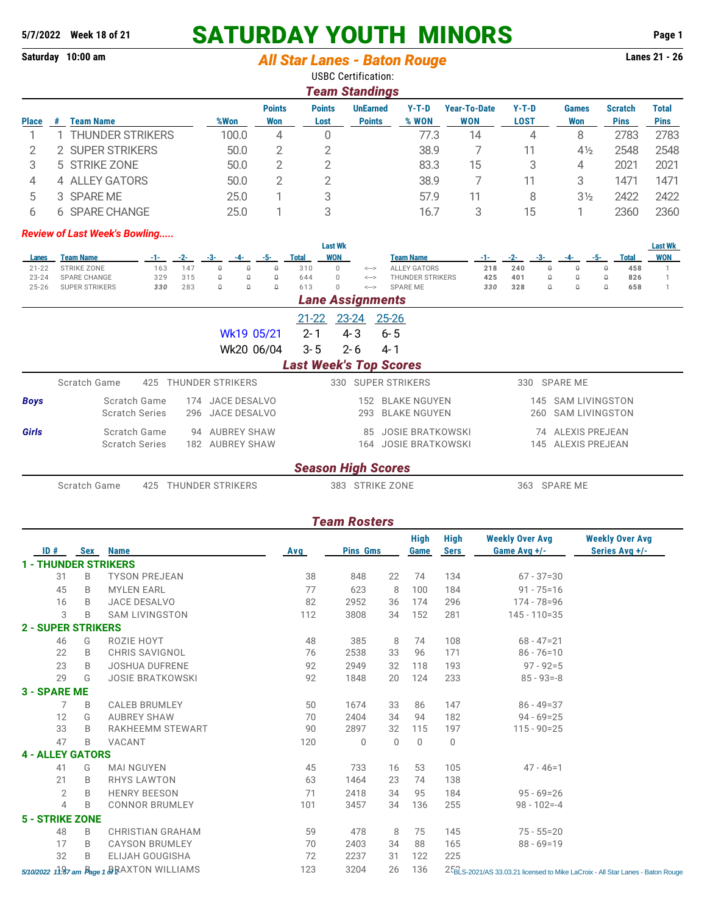# **5/7/2022 Week 18 of 21 SATURDAY YOUTH MINORS Page 1**

# **Saturday 10:00 am** *All Star Lanes - Baton Rouge*

USBC Certification: *Team Standings*

|               | <u>i eani Stanuniys</u> |                       |       |                      |                       |                                  |                |                            |                 |                            |                               |                      |  |  |  |
|---------------|-------------------------|-----------------------|-------|----------------------|-----------------------|----------------------------------|----------------|----------------------------|-----------------|----------------------------|-------------------------------|----------------------|--|--|--|
| <b>Place</b>  |                         | Team Name             | %Won  | <b>Points</b><br>Won | <b>Points</b><br>Lost | <b>UnEarned</b><br><b>Points</b> | Y-T-D<br>% WON | <b>Year-To-Date</b><br>WON | $Y-T-D$<br>LOST | <b>Games</b><br><b>Won</b> | <b>Scratch</b><br><b>Pins</b> | Total<br><b>Pins</b> |  |  |  |
|               |                         | THUNDER STRIKERS      | 100.0 | 4                    |                       |                                  | 77.3           | 14                         | 4               | 8                          | 2783                          | 2783                 |  |  |  |
|               |                         | <b>SUPER STRIKERS</b> | 50.0  |                      |                       |                                  | 38.9           |                            | 11              | $4\frac{1}{2}$             | 2548                          | 2548                 |  |  |  |
|               |                         | 5 STRIKE ZONE         | 50.0  |                      |                       |                                  | 83.3           | 15                         | 3               | 4                          | 2021                          | 2021                 |  |  |  |
| 4             |                         | 4 ALLEY GATORS        | 50.0  |                      |                       |                                  | 38.9           |                            | 11              | 3                          | 1471                          | 1471                 |  |  |  |
| $\mathcal{D}$ |                         | 3 SPARE ME            | 25.0  |                      | 3                     |                                  | 57.9           | 11                         | 8               | $3\frac{1}{2}$             | 2422                          | 2422                 |  |  |  |
|               | h.                      | <b>SPARE CHANGE</b>   | 25.0  |                      | 3                     |                                  | 16.7           |                            | 15              |                            | 2360                          | 2360                 |  |  |  |

#### *Review of Last Week's Bowling.....*

| <b>Last Wk</b><br><b>Last Wk</b>        |                       |       |                  |       |                    |          |           |                         |                                         |                               |     |       |     |                       |             |              |            |
|-----------------------------------------|-----------------------|-------|------------------|-------|--------------------|----------|-----------|-------------------------|-----------------------------------------|-------------------------------|-----|-------|-----|-----------------------|-------------|--------------|------------|
| Lanes                                   | <b>Team Name</b>      | $-1-$ | $-2-$            | $-3-$ | $-4-$              | $-5-$    | Total     | <b>WON</b>              |                                         | <b>Team Name</b>              | -1- | $-2-$ | -3- | $-4-$                 | $-5-$       | <b>Total</b> | <b>WON</b> |
| $21 - 22$                               | <b>STRIKE ZONE</b>    | 163   | 147              | 0     | $\theta$           |          | 310       | $\Omega$                | $\left\langle \rightarrow\right\rangle$ | <b>ALLEY GATORS</b>           | 218 | 240   | 0   | 0                     | $\theta$    | 458          |            |
| $23 - 24$                               | SPARE CHANGE          | 329   | 315              | 0     | $\mathsf{\Omega}$  | $\Box$   | 644       | $\Omega$                | $\Longleftrightarrow$                   | THUNDER STRIKERS              | 425 | 401   | 0   | 0                     | $\theta$    | 826          |            |
| $25 - 26$                               | <b>SUPER STRIKERS</b> | 330   | 283              | 0     | $\Omega$           | $\Omega$ | 613       | $\Omega$                | $\Longleftrightarrow$                   | <b>SPARE ME</b>               | 330 | 328   | 0   | Q                     | $\mathbb Q$ | 658          |            |
|                                         |                       |       |                  |       |                    |          |           | <b>Lane Assignments</b> |                                         |                               |     |       |     |                       |             |              |            |
|                                         |                       |       |                  |       |                    |          | $21 - 22$ | $23 - 24$               |                                         | $25 - 26$                     |     |       |     |                       |             |              |            |
| Wk19 05/21                              |                       |       |                  |       |                    |          | $2 - 1$   | 4-3                     |                                         | $6 - 5$                       |     |       |     |                       |             |              |            |
| Wk20 06/04<br>$3 - 5$<br>$2 - 6$<br>4-1 |                       |       |                  |       |                    |          |           |                         |                                         |                               |     |       |     |                       |             |              |            |
|                                         |                       |       |                  |       |                    |          |           |                         |                                         | <b>Last Week's Top Scores</b> |     |       |     |                       |             |              |            |
|                                         | Scratch Game          | 425   | THUNDER STRIKERS |       |                    |          |           | 330                     |                                         | SUPER STRIKERS                |     | 330   |     | SPARE ME              |             |              |            |
| <b>Boys</b>                             | Scratch Game          |       | 174              |       | JACE DESALVO       |          |           |                         | 152                                     | <b>BLAKE NGUYEN</b>           |     |       | 145 | <b>SAM LIVINGSTON</b> |             |              |            |
|                                         | <b>Scratch Series</b> |       | 296              |       | JACE DESALVO       |          |           |                         | 293                                     | <b>BLAKE NGUYEN</b>           |     |       | 260 | <b>SAM LIVINGSTON</b> |             |              |            |
| Girls                                   | Scratch Game          |       | 94               |       | <b>AUBREY SHAW</b> |          |           |                         | 85                                      | <b>JOSIE BRATKOWSKI</b>       |     |       |     | 74 ALEXIS PREJEAN     |             |              |            |

### *Season High Scores*

*Team Rosters*

Scratch Game  $425$  THUNDER STRIKERS 383 STRIKE ZONE 383 SPARE ME

Scratch Series 182 AUBREY SHAW 164 JOSIE BRATKOWSKI 145 ALEXIS PREJEAN

| ID#                         | <b>Sex</b> | <b>Name</b>                                 |            | <b>Pins Gms</b> |             | High<br>Game | High<br><b>Sers</b> | <b>Weekly Over Avg</b><br>Game Avg $+/-$ | <b>Weekly Over Avg</b><br>Series Avg +/-                                      |
|-----------------------------|------------|---------------------------------------------|------------|-----------------|-------------|--------------|---------------------|------------------------------------------|-------------------------------------------------------------------------------|
| <b>1 - THUNDER STRIKERS</b> |            |                                             | <b>Avg</b> |                 |             |              |                     |                                          |                                                                               |
| 31                          | B          | <b>TYSON PREJEAN</b>                        | 38         | 848             | 22          | 74           | 134                 | $67 - 37 = 30$                           |                                                                               |
| 45                          | B          | <b>MYLEN EARL</b>                           | 77         | 623             | 8           | 100          | 184                 | $91 - 75 = 16$                           |                                                                               |
| 16                          | B          | <b>JACE DESALVO</b>                         | 82         | 2952            | 36          | 174          | 296                 | $174 - 78 = 96$                          |                                                                               |
| 3                           | B          | <b>SAM LIVINGSTON</b>                       | 112        | 3808            | 34          | 152          | 281                 | $145 - 110 = 35$                         |                                                                               |
|                             |            |                                             |            |                 |             |              |                     |                                          |                                                                               |
| <b>2 - SUPER STRIKERS</b>   |            |                                             |            |                 |             |              |                     |                                          |                                                                               |
| 46                          | G          | ROZIE HOYT                                  | 48         | 385             | 8           | 74           | 108                 | $68 - 47 = 21$                           |                                                                               |
| 22                          | B          | <b>CHRIS SAVIGNOL</b>                       | 76         | 2538            | 33          | 96           | 171                 | $86 - 76 = 10$                           |                                                                               |
| 23                          | B          | <b>JOSHUA DUFRENE</b>                       | 92         | 2949            | 32          | 118          | 193                 | $97 - 92 = 5$                            |                                                                               |
| 29                          | G          | <b>JOSIE BRATKOWSKI</b>                     | 92         | 1848            | 20          | 124          | 233                 | $85 - 93 = -8$                           |                                                                               |
| <b>3 - SPARE ME</b>         |            |                                             |            |                 |             |              |                     |                                          |                                                                               |
| 7                           | B          | <b>CALEB BRUMLEY</b>                        | 50         | 1674            | 33          | 86           | 147                 | $86 - 49 = 37$                           |                                                                               |
| 12                          | G          | <b>AUBREY SHAW</b>                          | 70         | 2404            | 34          | 94           | 182                 | $94 - 69 = 25$                           |                                                                               |
| 33                          | B          | RAKHEEMM STEWART                            | 90         | 2897            | 32          | 115          | 197                 | $115 - 90 = 25$                          |                                                                               |
| 47                          | B          | VACANT                                      | 120        | $\mathbf{0}$    | $\mathbf 0$ | $\Omega$     | $\mathbf 0$         |                                          |                                                                               |
| <b>4 - ALLEY GATORS</b>     |            |                                             |            |                 |             |              |                     |                                          |                                                                               |
| 41                          | G          | <b>MAI NGUYEN</b>                           | 45         | 733             | 16          | 53           | 105                 | $47 - 46 = 1$                            |                                                                               |
| 21                          | B          | <b>RHYS LAWTON</b>                          | 63         | 1464            | 23          | 74           | 138                 |                                          |                                                                               |
| $\overline{2}$              | B          | <b>HENRY BEESON</b>                         | 71         | 2418            | 34          | 95           | 184                 | $95 - 69 = 26$                           |                                                                               |
| 4                           | B          | <b>CONNOR BRUMLEY</b>                       | 101        | 3457            | 34          | 136          | 255                 | $98 - 102 = -4$                          |                                                                               |
| <b>5 - STRIKE ZONE</b>      |            |                                             |            |                 |             |              |                     |                                          |                                                                               |
| 48                          | B          | <b>CHRISTIAN GRAHAM</b>                     | 59         | 478             | 8           | 75           | 145                 | $75 - 55 = 20$                           |                                                                               |
| 17                          | B          | <b>CAYSON BRUMLEY</b>                       | 70         | 2403            | 34          | 88           | 165                 | $88 - 69 = 19$                           |                                                                               |
| 32                          | B          | <b>ELIJAH GOUGISHA</b>                      | 72         | 2237            | 31          | 122          | 225                 |                                          |                                                                               |
|                             |            | 5/10/2022 11:87 am Page 1 & RAXTON WILLIAMS | 123        | 3204            | 26          | 136          |                     |                                          | 25 S-2021/AS 33.03.21 licensed to Mike LaCroix - All Star Lanes - Baton Rouge |